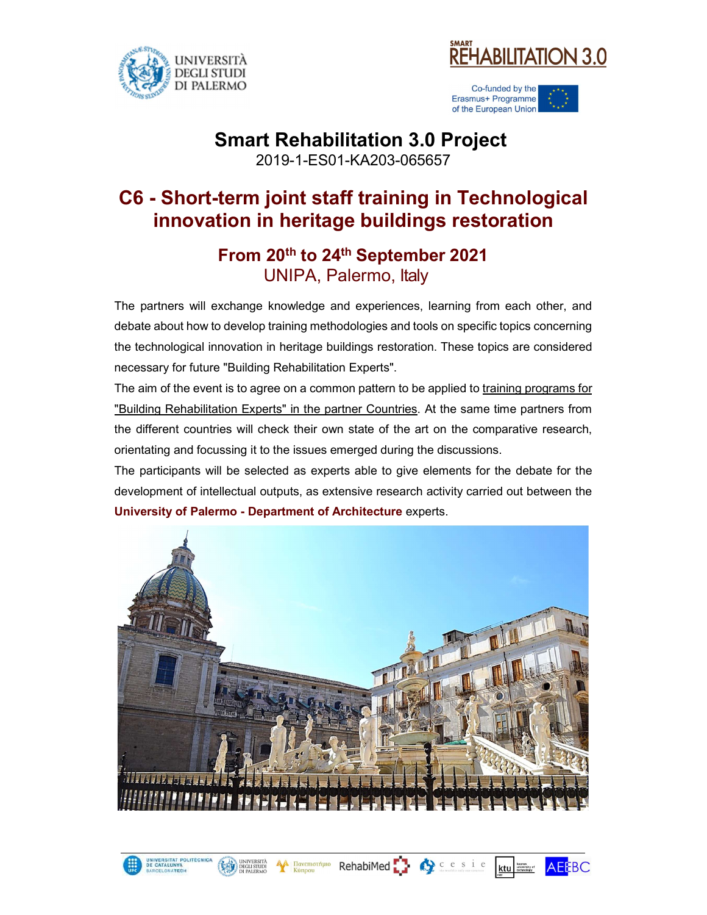

UNIVERSITAT POLITÊ<br>DE CATALUNYA<br>JAPOT

UNIVERSITÀ<br>DEGLI STUDI<br>DI PALERMO

**AA** Πανεπιστήμιο<br>Κύπρου



Co-funded by the Erasmus+ Programme of the European Union

## Smart Rehabilitation 3.0 Project

2019-1-ES01-KA203-065657

## C6 - Short-term joint staff training in Technological innovation in heritage buildings restoration

### From 20th to 24th September 2021 UNIPA, Palermo, Italy

The partners will exchange knowledge and experiences, learning from each other, and debate about how to develop training methodologies and tools on specific topics concerning the technological innovation in heritage buildings restoration. These topics are considered necessary for future "Building Rehabilitation Experts".

The aim of the event is to agree on a common pattern to be applied to training programs for "Building Rehabilitation Experts" in the partner Countries. At the same time partners from the different countries will check their own state of the art on the comparative research, orientating and focussing it to the issues emerged during the discussions.

The participants will be selected as experts able to give elements for the debate for the development of intellectual outputs, as extensive research activity carried out between the University of Palermo - Department of Architecture experts.



RehabiMed <sup>1</sup>

Qcesie

ktu | kaur

**AEEBC**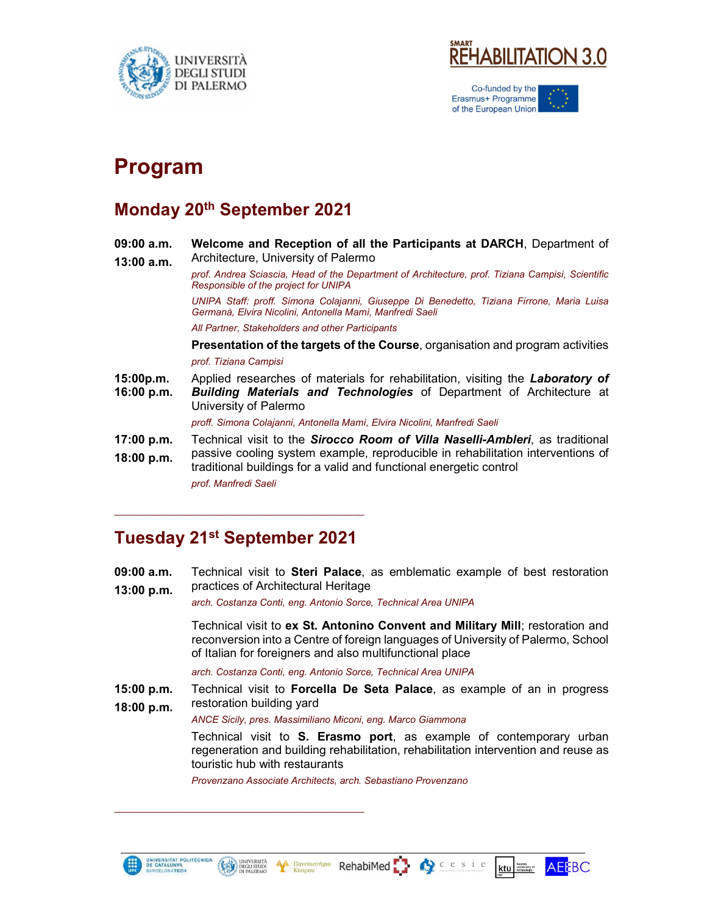



Co-funded by the Erasmus+ Programme of the European Union

# Program

#### Monday 20th September 2021

09:00 a.m. Welcome and Reception of all the Participants at DARCH, Department of 13:00 a.m. Architecture, University of Palermo prof. Andrea Sciascia, Head of the Department of Architecture, prof. Tiziana Campisi, Scientific Responsible of the project for UNIPA UNIPA Staff: proff. Simona Colajanni, Giuseppe Di Benedetto, Tiziana Firrone, Maria Luisa Germanà, Elvira Nicolini, Antonella Mamì, Manfredi Saeli All Partner, Stakeholders and other Participants Presentation of the targets of the Course, organisation and program activities prof. Tiziana Campisi **15:00p.m.** Applied researches of materials for rehabilitation, visiting the *Laboratory of* **16:00 p.m.** *Building Materials and Technologies* of Department of Architecture at University of Palermo proff. Simona Colajanni, Antonella Mamì, Elvira Nicolini, Manfredi Saeli **17:00 p.m.** Technical visit to the *Sirocco Room of Villa Naselli-Ambleri*, as traditional<br>**18:00 p.m.** passive cooling system example, reproducible in rehabilitation interventions of passive cooling system example, reproducible in rehabilitation interventions of traditional buildings for a valid and functional energetic control prof. Manfredi Saeli

### Tuesday 21st September 2021

\_\_\_\_\_\_\_\_\_\_\_\_\_\_\_\_\_\_\_\_\_\_\_\_\_\_\_\_\_\_\_\_\_\_\_\_\_\_\_\_\_\_\_\_\_\_

UNIVERSITÀ<br>DEGLI STUDI<br>DI PALERMO

 $\mathcal{L}_\text{max}$  and the contract of the contract of the contract of the contract of the contract of the contract of the contract of the contract of the contract of the contract of the contract of the contract of the contrac

**09:00 a.m.** Technical visit to **Steri Palace**, as emblematic example of best restoration 13:00 p.m. practices of Architectural Heritage

arch. Costanza Conti, eng. Antonio Sorce, Technical Area UNIPA

Technical visit to ex St. Antonino Convent and Military Mill; restoration and reconversion into a Centre of foreign languages of University of Palermo, School of Italian for foreigners and also multifunctional place

arch. Costanza Conti, eng. Antonio Sorce, Technical Area UNIPA

**15:00 p.m.** Technical visit to **Forcella De Seta Palace**, as example of an in progress **18:00 p.m.** Festoration building yard

ANCE Sicily, pres. Massimiliano Miconi, eng. Marco Giammona<br>Technical visit to S. Erasmo port, as example of contemporary urban regeneration and building rehabilitation, rehabilitation intervention and reuse as touristic hub with restaurants

Cesie

Provenzano Associate Architects, arch. Sebastiano Provenzano

**A Πανεπιστήμιο**<br>Κύπρου